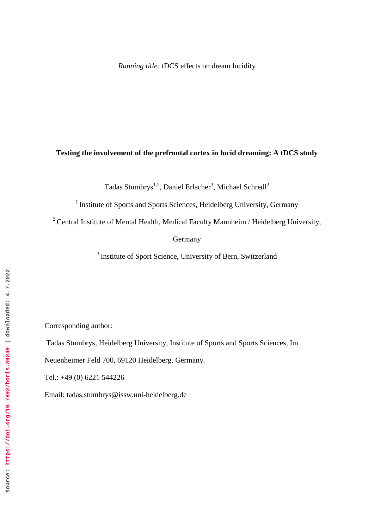# **Testing the involvement of the prefrontal cortex in lucid dreaming: A tDCS study**

Tadas Stumbrys $^{1,2}$ , Daniel Erlacher<sup>3</sup>, Michael Schredl<sup>2</sup>

<sup>1</sup> Institute of Sports and Sports Sciences, Heidelberg University, Germany

 $2$  Central Institute of Mental Health, Medical Faculty Mannheim / Heidelberg University,

Germany

<sup>3</sup> Institute of Sport Science, University of Bern, Switzerland

Corresponding author:

Tadas Stumbrys, Heidelberg University, Institute of Sports and Sports Sciences, Im

Neuenheimer Feld 700, 69120 Heidelberg, Germany.

Tel.: +49 (0) 6221 544226

Email: tadas.stumbrys@issw.uni-heidelberg.de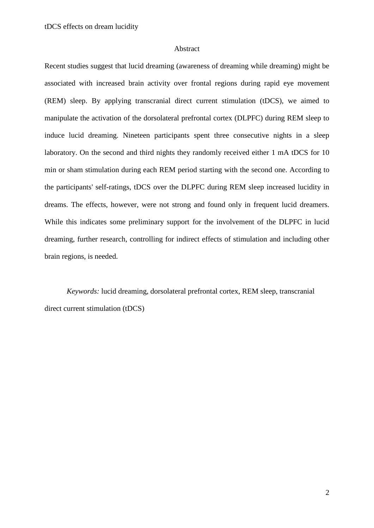#### Abstract

Recent studies suggest that lucid dreaming (awareness of dreaming while dreaming) might be associated with increased brain activity over frontal regions during rapid eye movement (REM) sleep. By applying transcranial direct current stimulation (tDCS), we aimed to manipulate the activation of the dorsolateral prefrontal cortex (DLPFC) during REM sleep to induce lucid dreaming. Nineteen participants spent three consecutive nights in a sleep laboratory. On the second and third nights they randomly received either 1 mA tDCS for 10 min or sham stimulation during each REM period starting with the second one. According to the participants' self-ratings, tDCS over the DLPFC during REM sleep increased lucidity in dreams. The effects, however, were not strong and found only in frequent lucid dreamers. While this indicates some preliminary support for the involvement of the DLPFC in lucid dreaming, further research, controlling for indirect effects of stimulation and including other brain regions, is needed.

*Keywords:* lucid dreaming, dorsolateral prefrontal cortex, REM sleep, transcranial direct current stimulation (tDCS)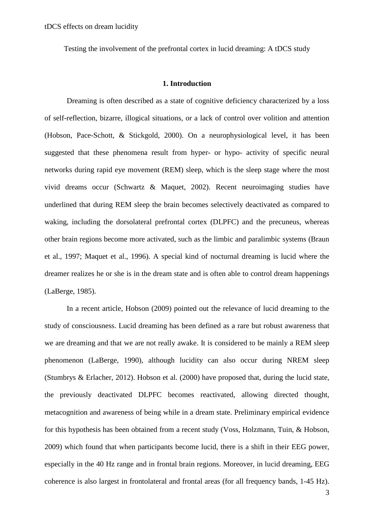Testing the involvement of the prefrontal cortex in lucid dreaming: A tDCS study

#### **1. Introduction**

Dreaming is often described as a state of cognitive deficiency characterized by a loss of self-reflection, bizarre, illogical situations, or a lack of control over volition and attention (Hobson, Pace-Schott, & Stickgold, 2000). On a neurophysiological level, it has been suggested that these phenomena result from hyper- or hypo- activity of specific neural networks during rapid eye movement (REM) sleep, which is the sleep stage where the most vivid dreams occur (Schwartz & Maquet, 2002). Recent neuroimaging studies have underlined that during REM sleep the brain becomes selectively deactivated as compared to waking, including the dorsolateral prefrontal cortex (DLPFC) and the precuneus, whereas other brain regions become more activated, such as the limbic and paralimbic systems (Braun et al., 1997; Maquet et al., 1996). A special kind of nocturnal dreaming is lucid where the dreamer realizes he or she is in the dream state and is often able to control dream happenings (LaBerge, 1985).

In a recent article, Hobson (2009) pointed out the relevance of lucid dreaming to the study of consciousness. Lucid dreaming has been defined as a rare but robust awareness that we are dreaming and that we are not really awake. It is considered to be mainly a REM sleep phenomenon (LaBerge, 1990), although lucidity can also occur during NREM sleep (Stumbrys & Erlacher, 2012). Hobson et al. (2000) have proposed that, during the lucid state, the previously deactivated DLPFC becomes reactivated, allowing directed thought, metacognition and awareness of being while in a dream state. Preliminary empirical evidence for this hypothesis has been obtained from a recent study (Voss, Holzmann, Tuin, & Hobson, 2009) which found that when participants become lucid, there is a shift in their EEG power, especially in the 40 Hz range and in frontal brain regions. Moreover, in lucid dreaming, EEG coherence is also largest in frontolateral and frontal areas (for all frequency bands, 1-45 Hz).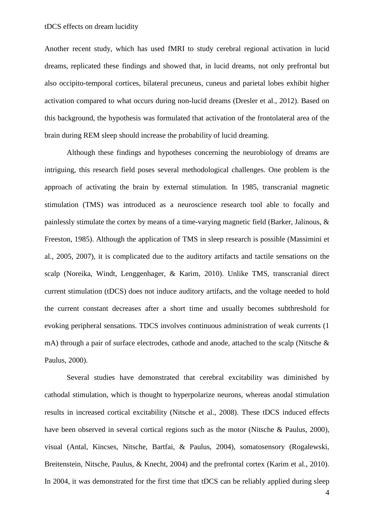Another recent study, which has used fMRI to study cerebral regional activation in lucid dreams, replicated these findings and showed that, in lucid dreams, not only prefrontal but also occipito-temporal cortices, bilateral precuneus, cuneus and parietal lobes exhibit higher activation compared to what occurs during non-lucid dreams (Dresler et al., 2012). Based on this background, the hypothesis was formulated that activation of the frontolateral area of the brain during REM sleep should increase the probability of lucid dreaming.

Although these findings and hypotheses concerning the neurobiology of dreams are intriguing, this research field poses several methodological challenges. One problem is the approach of activating the brain by external stimulation. In 1985, transcranial magnetic stimulation (TMS) was introduced as a neuroscience research tool able to focally and painlessly stimulate the cortex by means of a time-varying magnetic field (Barker, Jalinous, & Freeston, 1985). Although the application of TMS in sleep research is possible (Massimini et al., 2005, 2007), it is complicated due to the auditory artifacts and tactile sensations on the scalp (Noreika, Windt, Lenggenhager, & Karim, 2010). Unlike TMS, transcranial direct current stimulation (tDCS) does not induce auditory artifacts, and the voltage needed to hold the current constant decreases after a short time and usually becomes subthreshold for evoking peripheral sensations. TDCS involves continuous administration of weak currents (1 mA) through a pair of surface electrodes, cathode and anode, attached to the scalp (Nitsche & Paulus, 2000).

Several studies have demonstrated that cerebral excitability was diminished by cathodal stimulation, which is thought to hyperpolarize neurons, whereas anodal stimulation results in increased cortical excitability (Nitsche et al., 2008). These tDCS induced effects have been observed in several cortical regions such as the motor (Nitsche & Paulus, 2000). visual (Antal, Kincses, Nitsche, Bartfai, & Paulus, 2004), somatosensory (Rogalewski, Breitenstein, Nitsche, Paulus, & Knecht, 2004) and the prefrontal cortex (Karim et al., 2010). In 2004, it was demonstrated for the first time that tDCS can be reliably applied during sleep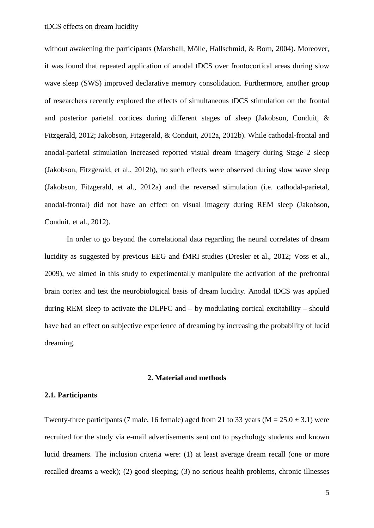without awakening the participants (Marshall, Mölle, Hallschmid, & Born, 2004). Moreover, it was found that repeated application of anodal tDCS over frontocortical areas during slow wave sleep (SWS) improved declarative memory consolidation. Furthermore, another group of researchers recently explored the effects of simultaneous tDCS stimulation on the frontal and posterior parietal cortices during different stages of sleep (Jakobson, Conduit, & Fitzgerald, 2012; Jakobson, Fitzgerald, & Conduit, 2012a, 2012b). While cathodal-frontal and anodal-parietal stimulation increased reported visual dream imagery during Stage 2 sleep (Jakobson, Fitzgerald, et al., 2012b), no such effects were observed during slow wave sleep (Jakobson, Fitzgerald, et al., 2012a) and the reversed stimulation (i.e. cathodal-parietal, anodal-frontal) did not have an effect on visual imagery during REM sleep (Jakobson, Conduit, et al., 2012).

In order to go beyond the correlational data regarding the neural correlates of dream lucidity as suggested by previous EEG and fMRI studies (Dresler et al., 2012; Voss et al., 2009), we aimed in this study to experimentally manipulate the activation of the prefrontal brain cortex and test the neurobiological basis of dream lucidity. Anodal tDCS was applied during REM sleep to activate the DLPFC and – by modulating cortical excitability – should have had an effect on subjective experience of dreaming by increasing the probability of lucid dreaming.

#### **2. Material and methods**

## **2.1. Participants**

Twenty-three participants (7 male, 16 female) aged from 21 to 33 years ( $M = 25.0 \pm 3.1$ ) were recruited for the study via e-mail advertisements sent out to psychology students and known lucid dreamers. The inclusion criteria were: (1) at least average dream recall (one or more recalled dreams a week); (2) good sleeping; (3) no serious health problems, chronic illnesses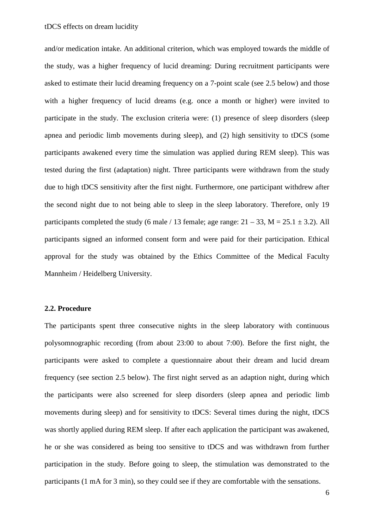and/or medication intake. An additional criterion, which was employed towards the middle of the study, was a higher frequency of lucid dreaming: During recruitment participants were asked to estimate their lucid dreaming frequency on a 7-point scale (see 2.5 below) and those with a higher frequency of lucid dreams (e.g. once a month or higher) were invited to participate in the study. The exclusion criteria were: (1) presence of sleep disorders (sleep apnea and periodic limb movements during sleep), and (2) high sensitivity to tDCS (some participants awakened every time the simulation was applied during REM sleep). This was tested during the first (adaptation) night. Three participants were withdrawn from the study due to high tDCS sensitivity after the first night. Furthermore, one participant withdrew after the second night due to not being able to sleep in the sleep laboratory. Therefore, only 19 participants completed the study (6 male / 13 female; age range:  $21 - 33$ , M =  $25.1 \pm 3.2$ ). All participants signed an informed consent form and were paid for their participation. Ethical approval for the study was obtained by the Ethics Committee of the Medical Faculty Mannheim / Heidelberg University.

#### **2.2. Procedure**

The participants spent three consecutive nights in the sleep laboratory with continuous polysomnographic recording (from about 23:00 to about 7:00). Before the first night, the participants were asked to complete a questionnaire about their dream and lucid dream frequency (see section 2.5 below). The first night served as an adaption night, during which the participants were also screened for sleep disorders (sleep apnea and periodic limb movements during sleep) and for sensitivity to tDCS: Several times during the night, tDCS was shortly applied during REM sleep. If after each application the participant was awakened, he or she was considered as being too sensitive to tDCS and was withdrawn from further participation in the study. Before going to sleep, the stimulation was demonstrated to the participants (1 mA for 3 min), so they could see if they are comfortable with the sensations.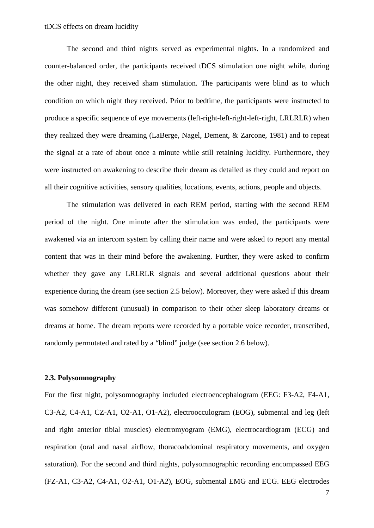The second and third nights served as experimental nights. In a randomized and counter-balanced order, the participants received tDCS stimulation one night while, during the other night, they received sham stimulation. The participants were blind as to which condition on which night they received. Prior to bedtime, the participants were instructed to produce a specific sequence of eye movements (left-right-left-right-left-right, LRLRLR) when they realized they were dreaming (LaBerge, Nagel, Dement, & Zarcone, 1981) and to repeat the signal at a rate of about once a minute while still retaining lucidity. Furthermore, they were instructed on awakening to describe their dream as detailed as they could and report on all their cognitive activities, sensory qualities, locations, events, actions, people and objects.

The stimulation was delivered in each REM period, starting with the second REM period of the night. One minute after the stimulation was ended, the participants were awakened via an intercom system by calling their name and were asked to report any mental content that was in their mind before the awakening. Further, they were asked to confirm whether they gave any LRLRLR signals and several additional questions about their experience during the dream (see section 2.5 below). Moreover, they were asked if this dream was somehow different (unusual) in comparison to their other sleep laboratory dreams or dreams at home. The dream reports were recorded by a portable voice recorder, transcribed, randomly permutated and rated by a "blind" judge (see section 2.6 below).

## **2.3. Polysomnography**

For the first night, polysomnography included electroencephalogram (EEG: F3-A2, F4-A1, C3-A2, C4-A1, CZ-A1, O2-A1, O1-A2), electroocculogram (EOG), submental and leg (left and right anterior tibial muscles) electromyogram (EMG), electrocardiogram (ECG) and respiration (oral and nasal airflow, thoracoabdominal respiratory movements, and oxygen saturation). For the second and third nights, polysomnographic recording encompassed EEG (FZ-A1, C3-A2, C4-A1, O2-A1, O1-A2), EOG, submental EMG and ECG. EEG electrodes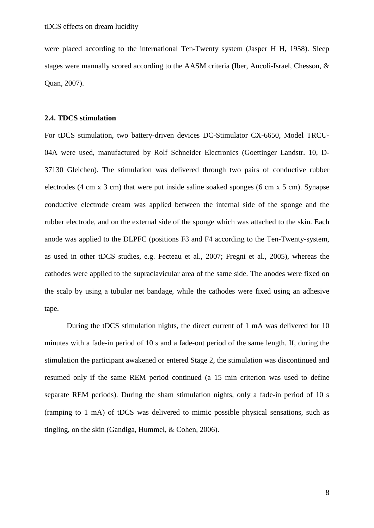were placed according to the international Ten-Twenty system (Jasper H H, 1958). Sleep stages were manually scored according to the AASM criteria (Iber, Ancoli-Israel, Chesson, & Quan, 2007).

### **2.4. TDCS stimulation**

For tDCS stimulation, two battery-driven devices DC-Stimulator CX-6650, Model TRCU-04A were used, manufactured by Rolf Schneider Electronics (Goettinger Landstr. 10, D-37130 Gleichen). The stimulation was delivered through two pairs of conductive rubber electrodes (4 cm x 3 cm) that were put inside saline soaked sponges (6 cm x 5 cm). Synapse conductive electrode cream was applied between the internal side of the sponge and the rubber electrode, and on the external side of the sponge which was attached to the skin. Each anode was applied to the DLPFC (positions F3 and F4 according to the Ten-Twenty-system, as used in other tDCS studies, e.g. Fecteau et al., 2007; Fregni et al., 2005), whereas the cathodes were applied to the supraclavicular area of the same side. The anodes were fixed on the scalp by using a tubular net bandage, while the cathodes were fixed using an adhesive tape.

During the tDCS stimulation nights, the direct current of 1 mA was delivered for 10 minutes with a fade-in period of 10 s and a fade-out period of the same length. If, during the stimulation the participant awakened or entered Stage 2, the stimulation was discontinued and resumed only if the same REM period continued (a 15 min criterion was used to define separate REM periods). During the sham stimulation nights, only a fade-in period of 10 s (ramping to 1 mA) of tDCS was delivered to mimic possible physical sensations, such as tingling, on the skin (Gandiga, Hummel, & Cohen, 2006).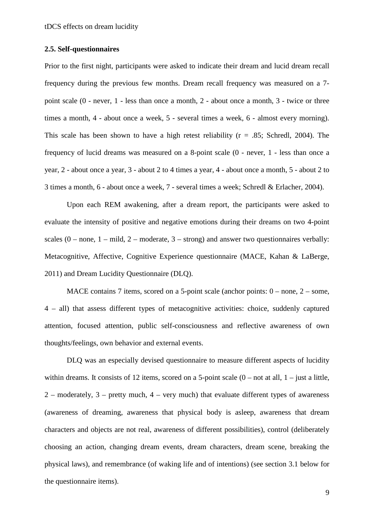## **2.5. Self-questionnaires**

Prior to the first night, participants were asked to indicate their dream and lucid dream recall frequency during the previous few months. Dream recall frequency was measured on a 7 point scale (0 - never, 1 - less than once a month, 2 - about once a month, 3 - twice or three times a month, 4 - about once a week, 5 - several times a week, 6 - almost every morning). This scale has been shown to have a high retest reliability ( $r = .85$ ; Schredl, 2004). The frequency of lucid dreams was measured on a 8-point scale (0 - never, 1 - less than once a year, 2 - about once a year, 3 - about 2 to 4 times a year, 4 - about once a month, 5 - about 2 to 3 times a month, 6 - about once a week, 7 - several times a week; Schredl & Erlacher, 2004).

Upon each REM awakening, after a dream report, the participants were asked to evaluate the intensity of positive and negative emotions during their dreams on two 4-point scales  $(0 - none, 1 - mild, 2 - moderate, 3 - strong)$  and answer two questionnaires verbally: Metacognitive, Affective, Cognitive Experience questionnaire (MACE, Kahan & LaBerge, 2011) and Dream Lucidity Questionnaire (DLQ).

MACE contains 7 items, scored on a 5-point scale (anchor points:  $0 -$  none,  $2 -$  some, 4 – all) that assess different types of metacognitive activities: choice, suddenly captured attention, focused attention, public self-consciousness and reflective awareness of own thoughts/feelings, own behavior and external events.

DLQ was an especially devised questionnaire to measure different aspects of lucidity within dreams. It consists of 12 items, scored on a 5-point scale  $(0 - not at all, 1 - just a little,$  $2$  – moderately,  $3$  – pretty much,  $4$  – very much) that evaluate different types of awareness (awareness of dreaming, awareness that physical body is asleep, awareness that dream characters and objects are not real, awareness of different possibilities), control (deliberately choosing an action, changing dream events, dream characters, dream scene, breaking the physical laws), and remembrance (of waking life and of intentions) (see section 3.1 below for the questionnaire items).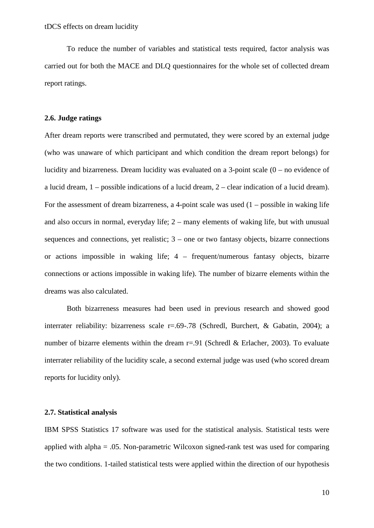To reduce the number of variables and statistical tests required, factor analysis was carried out for both the MACE and DLQ questionnaires for the whole set of collected dream report ratings.

#### **2.6. Judge ratings**

After dream reports were transcribed and permutated, they were scored by an external judge (who was unaware of which participant and which condition the dream report belongs) for lucidity and bizarreness. Dream lucidity was evaluated on a 3-point scale (0 – no evidence of a lucid dream, 1 – possible indications of a lucid dream, 2 – clear indication of a lucid dream). For the assessment of dream bizarreness, a 4-point scale was used  $(1 -$  possible in waking life and also occurs in normal, everyday life; 2 – many elements of waking life, but with unusual sequences and connections, yet realistic;  $3$  – one or two fantasy objects, bizarre connections or actions impossible in waking life; 4 – frequent/numerous fantasy objects, bizarre connections or actions impossible in waking life). The number of bizarre elements within the dreams was also calculated.

Both bizarreness measures had been used in previous research and showed good interrater reliability: bizarreness scale r=.69-.78 (Schredl, Burchert, & Gabatin, 2004); a number of bizarre elements within the dream  $r=0.91$  (Schredl & Erlacher, 2003). To evaluate interrater reliability of the lucidity scale, a second external judge was used (who scored dream reports for lucidity only).

#### **2.7. Statistical analysis**

IBM SPSS Statistics 17 software was used for the statistical analysis. Statistical tests were applied with alpha  $= .05$ . Non-parametric Wilcoxon signed-rank test was used for comparing the two conditions. 1-tailed statistical tests were applied within the direction of our hypothesis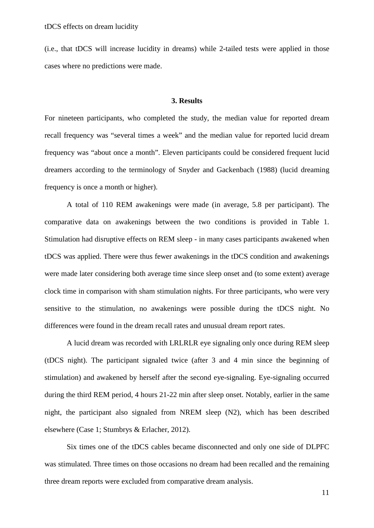(i.e., that tDCS will increase lucidity in dreams) while 2-tailed tests were applied in those cases where no predictions were made.

## **3. Results**

For nineteen participants, who completed the study, the median value for reported dream recall frequency was "several times a week" and the median value for reported lucid dream frequency was "about once a month". Eleven participants could be considered frequent lucid dreamers according to the terminology of Snyder and Gackenbach (1988) (lucid dreaming frequency is once a month or higher).

A total of 110 REM awakenings were made (in average, 5.8 per participant). The comparative data on awakenings between the two conditions is provided in Table 1. Stimulation had disruptive effects on REM sleep - in many cases participants awakened when tDCS was applied. There were thus fewer awakenings in the tDCS condition and awakenings were made later considering both average time since sleep onset and (to some extent) average clock time in comparison with sham stimulation nights. For three participants, who were very sensitive to the stimulation, no awakenings were possible during the tDCS night. No differences were found in the dream recall rates and unusual dream report rates.

A lucid dream was recorded with LRLRLR eye signaling only once during REM sleep (tDCS night). The participant signaled twice (after 3 and 4 min since the beginning of stimulation) and awakened by herself after the second eye-signaling. Eye-signaling occurred during the third REM period, 4 hours 21-22 min after sleep onset. Notably, earlier in the same night, the participant also signaled from NREM sleep (N2), which has been described elsewhere (Case 1; Stumbrys & Erlacher, 2012).

Six times one of the tDCS cables became disconnected and only one side of DLPFC was stimulated. Three times on those occasions no dream had been recalled and the remaining three dream reports were excluded from comparative dream analysis.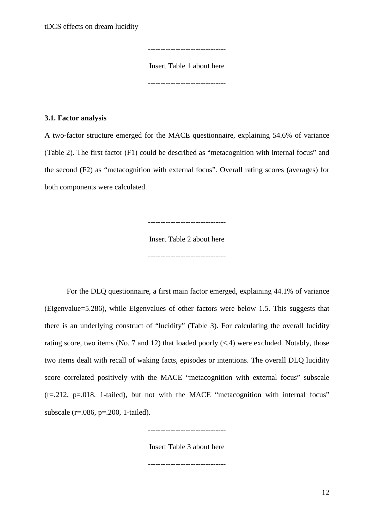-------------------------------

Insert Table 1 about here

-------------------------------

#### **3.1. Factor analysis**

A two-factor structure emerged for the MACE questionnaire, explaining 54.6% of variance (Table 2). The first factor (F1) could be described as "metacognition with internal focus" and the second (F2) as "metacognition with external focus". Overall rating scores (averages) for both components were calculated.

-------------------------------

Insert Table 2 about here

-------------------------------

For the DLQ questionnaire, a first main factor emerged, explaining 44.1% of variance (Eigenvalue=5.286), while Eigenvalues of other factors were below 1.5. This suggests that there is an underlying construct of "lucidity" (Table 3). For calculating the overall lucidity rating score, two items (No. 7 and 12) that loaded poorly  $(<.4)$  were excluded. Notably, those two items dealt with recall of waking facts, episodes or intentions. The overall DLQ lucidity score correlated positively with the MACE "metacognition with external focus" subscale  $(r=.212, p=.018, 1-tailed)$ , but not with the MACE "metacognition with internal focus" subscale (r=.086, p=.200, 1-tailed).

Insert Table 3 about here

-------------------------------

-------------------------------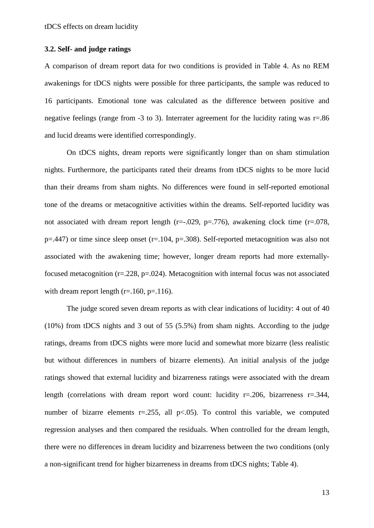## **3.2. Self- and judge ratings**

A comparison of dream report data for two conditions is provided in Table 4. As no REM awakenings for tDCS nights were possible for three participants, the sample was reduced to 16 participants. Emotional tone was calculated as the difference between positive and negative feelings (range from -3 to 3). Interrater agreement for the lucidity rating was r=.86 and lucid dreams were identified correspondingly.

On tDCS nights, dream reports were significantly longer than on sham stimulation nights. Furthermore, the participants rated their dreams from tDCS nights to be more lucid than their dreams from sham nights. No differences were found in self-reported emotional tone of the dreams or metacognitive activities within the dreams. Self-reported lucidity was not associated with dream report length ( $r=-.029$ ,  $p=.776$ ), awakening clock time ( $r=.078$ ,  $p=0.447$ ) or time since sleep onset (r=.104, p=.308). Self-reported metacognition was also not associated with the awakening time; however, longer dream reports had more externallyfocused metacognition ( $r = 0.228$ ,  $p = 0.024$ ). Metacognition with internal focus was not associated with dream report length  $(r=160, p=116)$ .

The judge scored seven dream reports as with clear indications of lucidity: 4 out of 40 (10%) from tDCS nights and 3 out of 55 (5.5%) from sham nights. According to the judge ratings, dreams from tDCS nights were more lucid and somewhat more bizarre (less realistic but without differences in numbers of bizarre elements). An initial analysis of the judge ratings showed that external lucidity and bizarreness ratings were associated with the dream length (correlations with dream report word count: lucidity r=.206, bizarreness r=.344, number of bizarre elements  $r = 0.255$ , all  $p < 0.05$ ). To control this variable, we computed regression analyses and then compared the residuals. When controlled for the dream length, there were no differences in dream lucidity and bizarreness between the two conditions (only a non-significant trend for higher bizarreness in dreams from tDCS nights; Table 4).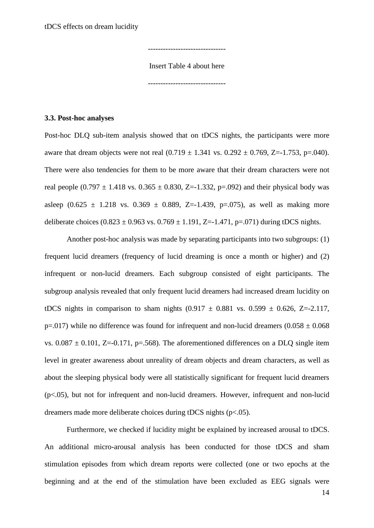-------------------------------

Insert Table 4 about here

-------------------------------

#### **3.3. Post-hoc analyses**

Post-hoc DLQ sub-item analysis showed that on tDCS nights, the participants were more aware that dream objects were not real  $(0.719 \pm 1.341 \text{ vs. } 0.292 \pm 0.769, Z = -1.753, p = .040)$ . There were also tendencies for them to be more aware that their dream characters were not real people  $(0.797 \pm 1.418 \text{ vs. } 0.365 \pm 0.830, Z=-1.332, p=.092)$  and their physical body was asleep  $(0.625 \pm 1.218 \text{ vs. } 0.369 \pm 0.889, \text{ Z} = -1.439, \text{ p} = .075)$ , as well as making more deliberate choices  $(0.823 \pm 0.963 \text{ vs. } 0.769 \pm 1.191, Z=-1.471, p=.071)$  during tDCS nights.

Another post-hoc analysis was made by separating participants into two subgroups: (1) frequent lucid dreamers (frequency of lucid dreaming is once a month or higher) and (2) infrequent or non-lucid dreamers. Each subgroup consisted of eight participants. The subgroup analysis revealed that only frequent lucid dreamers had increased dream lucidity on tDCS nights in comparison to sham nights  $(0.917 \pm 0.881 \text{ vs. } 0.599 \pm 0.626, Z = -2.117,$ p=.017) while no difference was found for infrequent and non-lucid dreamers  $(0.058 \pm 0.068$ vs.  $0.087 \pm 0.101$ , Z=-0.171, p=.568). The aforementioned differences on a DLO single item level in greater awareness about unreality of dream objects and dream characters, as well as about the sleeping physical body were all statistically significant for frequent lucid dreamers (p<.05), but not for infrequent and non-lucid dreamers. However, infrequent and non-lucid dreamers made more deliberate choices during tDCS nights (p<.05).

Furthermore, we checked if lucidity might be explained by increased arousal to tDCS. An additional micro-arousal analysis has been conducted for those tDCS and sham stimulation episodes from which dream reports were collected (one or two epochs at the beginning and at the end of the stimulation have been excluded as EEG signals were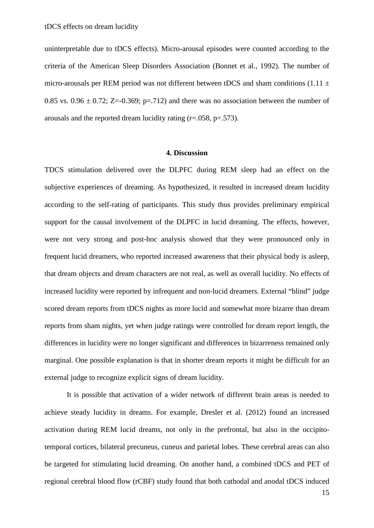uninterpretable due to tDCS effects). Micro-arousal episodes were counted according to the criteria of the American Sleep Disorders Association (Bonnet et al., 1992). The number of micro-arousals per REM period was not different between tDCS and sham conditions (1.11  $\pm$ 0.85 vs.  $0.96 \pm 0.72$ ; Z=-0.369; p=.712) and there was no association between the number of arousals and the reported dream lucidity rating  $(r=.058, p=.573)$ .

## **4. Discussion**

TDCS stimulation delivered over the DLPFC during REM sleep had an effect on the subjective experiences of dreaming. As hypothesized, it resulted in increased dream lucidity according to the self-rating of participants. This study thus provides preliminary empirical support for the causal involvement of the DLPFC in lucid dreaming. The effects, however, were not very strong and post-hoc analysis showed that they were pronounced only in frequent lucid dreamers, who reported increased awareness that their physical body is asleep, that dream objects and dream characters are not real, as well as overall lucidity. No effects of increased lucidity were reported by infrequent and non-lucid dreamers. External "blind" judge scored dream reports from tDCS nights as more lucid and somewhat more bizarre than dream reports from sham nights, yet when judge ratings were controlled for dream report length, the differences in lucidity were no longer significant and differences in bizarreness remained only marginal. One possible explanation is that in shorter dream reports it might be difficult for an external judge to recognize explicit signs of dream lucidity.

It is possible that activation of a wider network of different brain areas is needed to achieve steady lucidity in dreams. For example, Dresler et al. (2012) found an increased activation during REM lucid dreams, not only in the prefrontal, but also in the occipitotemporal cortices, bilateral precuneus, cuneus and parietal lobes. These cerebral areas can also be targeted for stimulating lucid dreaming. On another hand, a combined tDCS and PET of regional cerebral blood flow (rCBF) study found that both cathodal and anodal tDCS induced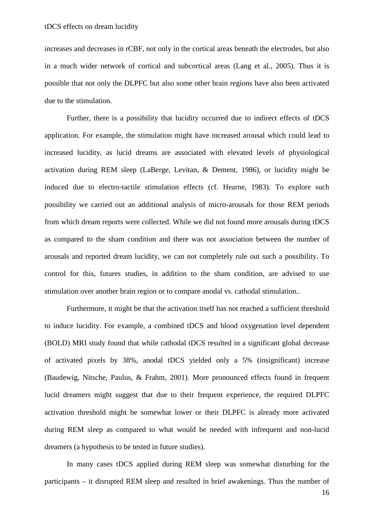increases and decreases in rCBF, not only in the cortical areas beneath the electrodes, but also in a much wider network of cortical and subcortical areas (Lang et al., 2005). Thus it is possible that not only the DLPFC but also some other brain regions have also been activated due to the stimulation.

Further, there is a possibility that lucidity occurred due to indirect effects of tDCS application. For example, the stimulation might have increased arousal which could lead to increased lucidity, as lucid dreams are associated with elevated levels of physiological activation during REM sleep (LaBerge, Levitan, & Dement, 1986), or lucidity might be induced due to electro-tactile stimulation effects (cf. Hearne, 1983). To explore such possibility we carried out an additional analysis of micro-arousals for those REM periods from which dream reports were collected. While we did not found more arousals during tDCS as compared to the sham condition and there was not association between the number of arousals and reported dream lucidity, we can not completely rule out such a possibility. To control for this, futures studies, in addition to the sham condition, are advised to use stimulation over another brain region or to compare anodal vs. cathodal stimulation..

Furthermore, it might be that the activation itself has not reached a sufficient threshold to induce lucidity. For example, a combined tDCS and blood oxygenation level dependent (BOLD) MRI study found that while cathodal tDCS resulted in a significant global decrease of activated pixels by 38%, anodal tDCS yielded only a 5% (insignificant) increase (Baudewig, Nitsche, Paulus, & Frahm, 2001). More pronounced effects found in frequent lucid dreamers might suggest that due to their frequent experience, the required DLPFC activation threshold might be somewhat lower or their DLPFC is already more activated during REM sleep as compared to what would be needed with infrequent and non-lucid dreamers (a hypothesis to be tested in future studies).

In many cases tDCS applied during REM sleep was somewhat disturbing for the participants – it disrupted REM sleep and resulted in brief awakenings. Thus the number of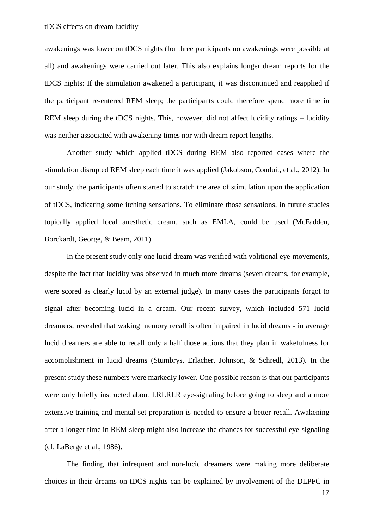awakenings was lower on tDCS nights (for three participants no awakenings were possible at all) and awakenings were carried out later. This also explains longer dream reports for the tDCS nights: If the stimulation awakened a participant, it was discontinued and reapplied if the participant re-entered REM sleep; the participants could therefore spend more time in REM sleep during the tDCS nights. This, however, did not affect lucidity ratings – lucidity was neither associated with awakening times nor with dream report lengths.

Another study which applied tDCS during REM also reported cases where the stimulation disrupted REM sleep each time it was applied (Jakobson, Conduit, et al., 2012). In our study, the participants often started to scratch the area of stimulation upon the application of tDCS, indicating some itching sensations. To eliminate those sensations, in future studies topically applied local anesthetic cream, such as EMLA, could be used (McFadden, Borckardt, George, & Beam, 2011).

In the present study only one lucid dream was verified with volitional eye-movements, despite the fact that lucidity was observed in much more dreams (seven dreams, for example, were scored as clearly lucid by an external judge). In many cases the participants forgot to signal after becoming lucid in a dream. Our recent survey, which included 571 lucid dreamers, revealed that waking memory recall is often impaired in lucid dreams - in average lucid dreamers are able to recall only a half those actions that they plan in wakefulness for accomplishment in lucid dreams (Stumbrys, Erlacher, Johnson, & Schredl, 2013). In the present study these numbers were markedly lower. One possible reason is that our participants were only briefly instructed about LRLRLR eye-signaling before going to sleep and a more extensive training and mental set preparation is needed to ensure a better recall. Awakening after a longer time in REM sleep might also increase the chances for successful eye-signaling (cf. LaBerge et al., 1986).

The finding that infrequent and non-lucid dreamers were making more deliberate choices in their dreams on tDCS nights can be explained by involvement of the DLPFC in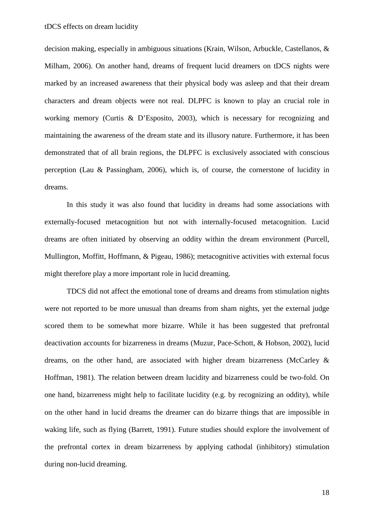decision making, especially in ambiguous situations (Krain, Wilson, Arbuckle, Castellanos, & Milham, 2006). On another hand, dreams of frequent lucid dreamers on tDCS nights were marked by an increased awareness that their physical body was asleep and that their dream characters and dream objects were not real. DLPFC is known to play an crucial role in working memory (Curtis & D'Esposito, 2003), which is necessary for recognizing and maintaining the awareness of the dream state and its illusory nature. Furthermore, it has been demonstrated that of all brain regions, the DLPFC is exclusively associated with conscious perception (Lau & Passingham, 2006), which is, of course, the cornerstone of lucidity in dreams.

In this study it was also found that lucidity in dreams had some associations with externally-focused metacognition but not with internally-focused metacognition. Lucid dreams are often initiated by observing an oddity within the dream environment (Purcell, Mullington, Moffitt, Hoffmann, & Pigeau, 1986); metacognitive activities with external focus might therefore play a more important role in lucid dreaming.

TDCS did not affect the emotional tone of dreams and dreams from stimulation nights were not reported to be more unusual than dreams from sham nights, yet the external judge scored them to be somewhat more bizarre. While it has been suggested that prefrontal deactivation accounts for bizarreness in dreams (Muzur, Pace-Schott, & Hobson, 2002), lucid dreams, on the other hand, are associated with higher dream bizarreness (McCarley & Hoffman, 1981). The relation between dream lucidity and bizarreness could be two-fold. On one hand, bizarreness might help to facilitate lucidity (e.g. by recognizing an oddity), while on the other hand in lucid dreams the dreamer can do bizarre things that are impossible in waking life, such as flying (Barrett, 1991). Future studies should explore the involvement of the prefrontal cortex in dream bizarreness by applying cathodal (inhibitory) stimulation during non-lucid dreaming.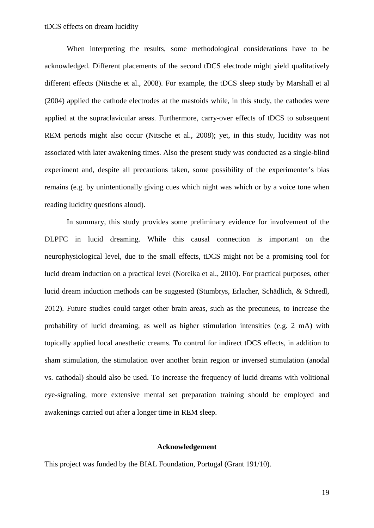When interpreting the results, some methodological considerations have to be acknowledged. Different placements of the second tDCS electrode might yield qualitatively different effects (Nitsche et al., 2008). For example, the tDCS sleep study by Marshall et al (2004) applied the cathode electrodes at the mastoids while, in this study, the cathodes were applied at the supraclavicular areas. Furthermore, carry-over effects of tDCS to subsequent REM periods might also occur (Nitsche et al., 2008); yet, in this study, lucidity was not associated with later awakening times. Also the present study was conducted as a single-blind experiment and, despite all precautions taken, some possibility of the experimenter's bias remains (e.g. by unintentionally giving cues which night was which or by a voice tone when reading lucidity questions aloud).

In summary, this study provides some preliminary evidence for involvement of the DLPFC in lucid dreaming. While this causal connection is important on the neurophysiological level, due to the small effects, tDCS might not be a promising tool for lucid dream induction on a practical level (Noreika et al., 2010). For practical purposes, other lucid dream induction methods can be suggested (Stumbrys, Erlacher, Schädlich, & Schredl, 2012). Future studies could target other brain areas, such as the precuneus, to increase the probability of lucid dreaming, as well as higher stimulation intensities (e.g. 2 mA) with topically applied local anesthetic creams. To control for indirect tDCS effects, in addition to sham stimulation, the stimulation over another brain region or inversed stimulation (anodal vs. cathodal) should also be used. To increase the frequency of lucid dreams with volitional eye-signaling, more extensive mental set preparation training should be employed and awakenings carried out after a longer time in REM sleep.

#### **Acknowledgement**

This project was funded by the BIAL Foundation, Portugal (Grant 191/10).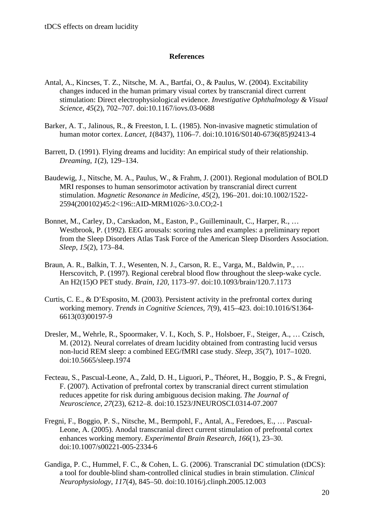# **References**

- Antal, A., Kincses, T. Z., Nitsche, M. A., Bartfai, O., & Paulus, W. (2004). Excitability changes induced in the human primary visual cortex by transcranial direct current stimulation: Direct electrophysiological evidence. *Investigative Ophthalmology & Visual Science*, *45*(2), 702–707. doi:10.1167/iovs.03-0688
- Barker, A. T., Jalinous, R., & Freeston, I. L. (1985). Non-invasive magnetic stimulation of human motor cortex. *Lancet*, *1*(8437), 1106–7. doi:10.1016/S0140-6736(85)92413-4
- Barrett, D. (1991). Flying dreams and lucidity: An empirical study of their relationship. *Dreaming*, *1*(2), 129–134.
- Baudewig, J., Nitsche, M. A., Paulus, W., & Frahm, J. (2001). Regional modulation of BOLD MRI responses to human sensorimotor activation by transcranial direct current stimulation. *Magnetic Resonance in Medicine*, *45*(2), 196–201. doi:10.1002/1522- 2594(200102)45:2<196::AID-MRM1026>3.0.CO;2-1
- Bonnet, M., Carley, D., Carskadon, M., Easton, P., Guilleminault, C., Harper, R., … Westbrook, P. (1992). EEG arousals: scoring rules and examples: a preliminary report from the Sleep Disorders Atlas Task Force of the American Sleep Disorders Association. *Sleep*, *15*(2), 173–84.
- Braun, A. R., Balkin, T. J., Wesenten, N. J., Carson, R. E., Varga, M., Baldwin, P., … Herscovitch, P. (1997). Regional cerebral blood flow throughout the sleep-wake cycle. An H2(15)O PET study. *Brain*, *120*, 1173–97. doi:10.1093/brain/120.7.1173
- Curtis, C. E., & D'Esposito, M. (2003). Persistent activity in the prefrontal cortex during working memory. *Trends in Cognitive Sciences*, *7*(9), 415–423. doi:10.1016/S1364- 6613(03)00197-9
- Dresler, M., Wehrle, R., Spoormaker, V. I., Koch, S. P., Holsboer, F., Steiger, A., … Czisch, M. (2012). Neural correlates of dream lucidity obtained from contrasting lucid versus non-lucid REM sleep: a combined EEG/fMRI case study. *Sleep*, *35*(7), 1017–1020. doi:10.5665/sleep.1974
- Fecteau, S., Pascual-Leone, A., Zald, D. H., Liguori, P., Théoret, H., Boggio, P. S., & Fregni, F. (2007). Activation of prefrontal cortex by transcranial direct current stimulation reduces appetite for risk during ambiguous decision making. *The Journal of Neuroscience*, *27*(23), 6212–8. doi:10.1523/JNEUROSCI.0314-07.2007
- Fregni, F., Boggio, P. S., Nitsche, M., Bermpohl, F., Antal, A., Feredoes, E., … Pascual-Leone, A. (2005). Anodal transcranial direct current stimulation of prefrontal cortex enhances working memory. *Experimental Brain Research*, *166*(1), 23–30. doi:10.1007/s00221-005-2334-6
- Gandiga, P. C., Hummel, F. C., & Cohen, L. G. (2006). Transcranial DC stimulation (tDCS): a tool for double-blind sham-controlled clinical studies in brain stimulation. *Clinical Neurophysiology*, *117*(4), 845–50. doi:10.1016/j.clinph.2005.12.003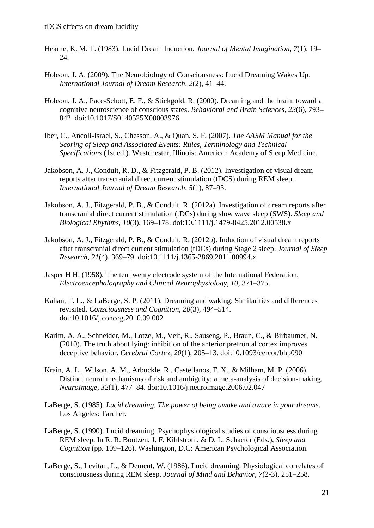- Hearne, K. M. T. (1983). Lucid Dream Induction. *Journal of Mental Imagination*, *7*(1), 19– 24.
- Hobson, J. A. (2009). The Neurobiology of Consciousness: Lucid Dreaming Wakes Up. *International Journal of Dream Research*, *2*(2), 41–44.
- Hobson, J. A., Pace-Schott, E. F., & Stickgold, R. (2000). Dreaming and the brain: toward a cognitive neuroscience of conscious states. *Behavioral and Brain Sciences*, *23*(6), 793– 842. doi:10.1017/S0140525X00003976
- Iber, C., Ancoli-Israel, S., Chesson, A., & Quan, S. F. (2007). *The AASM Manual for the Scoring of Sleep and Associated Events: Rules, Terminology and Technical Specifications* (1st ed.). Westchester, Illinois: American Academy of Sleep Medicine.
- Jakobson, A. J., Conduit, R. D., & Fitzgerald, P. B. (2012). Investigation of visual dream reports after transcranial direct current stimulation (tDCS) during REM sleep. *International Journal of Dream Research*, *5*(1), 87–93.
- Jakobson, A. J., Fitzgerald, P. B., & Conduit, R. (2012a). Investigation of dream reports after transcranial direct current stimulation (tDCs) during slow wave sleep (SWS). *Sleep and Biological Rhythms*, *10*(3), 169–178. doi:10.1111/j.1479-8425.2012.00538.x
- Jakobson, A. J., Fitzgerald, P. B., & Conduit, R. (2012b). Induction of visual dream reports after transcranial direct current stimulation (tDCs) during Stage 2 sleep. *Journal of Sleep Research*, *21*(4), 369–79. doi:10.1111/j.1365-2869.2011.00994.x
- Jasper H H. (1958). The ten twenty electrode system of the International Federation. *Electroencephalography and Clinical Neurophysiology*, *10*, 371–375.
- Kahan, T. L., & LaBerge, S. P. (2011). Dreaming and waking: Similarities and differences revisited. *Consciousness and Cognition*, *20*(3), 494–514. doi:10.1016/j.concog.2010.09.002
- Karim, A. A., Schneider, M., Lotze, M., Veit, R., Sauseng, P., Braun, C., & Birbaumer, N. (2010). The truth about lying: inhibition of the anterior prefrontal cortex improves deceptive behavior. *Cerebral Cortex*, *20*(1), 205–13. doi:10.1093/cercor/bhp090
- Krain, A. L., Wilson, A. M., Arbuckle, R., Castellanos, F. X., & Milham, M. P. (2006). Distinct neural mechanisms of risk and ambiguity: a meta-analysis of decision-making. *NeuroImage*, *32*(1), 477–84. doi:10.1016/j.neuroimage.2006.02.047
- LaBerge, S. (1985). *Lucid dreaming. The power of being awake and aware in your dreams*. Los Angeles: Tarcher.
- LaBerge, S. (1990). Lucid dreaming: Psychophysiological studies of consciousness during REM sleep. In R. R. Bootzen, J. F. Kihlstrom, & D. L. Schacter (Eds.), *Sleep and Cognition* (pp. 109–126). Washington, D.C: American Psychological Association.
- LaBerge, S., Levitan, L., & Dement, W. (1986). Lucid dreaming: Physiological correlates of consciousness during REM sleep. *Journal of Mind and Behavior*, *7*(2-3), 251–258.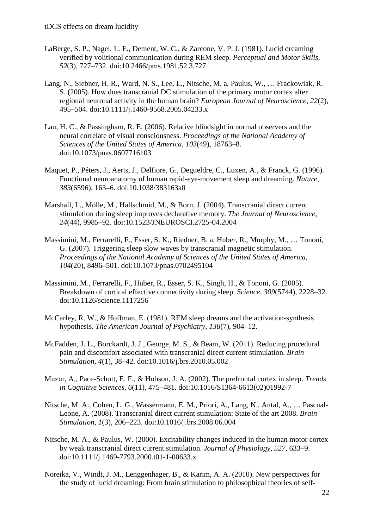- LaBerge, S. P., Nagel, L. E., Dement, W. C., & Zarcone, V. P. J. (1981). Lucid dreaming verified by volitional communication during REM sleep. *Perceptual and Motor Skills*, *52*(3), 727–732. doi:10.2466/pms.1981.52.3.727
- Lang, N., Siebner, H. R., Ward, N. S., Lee, L., Nitsche, M. a, Paulus, W., … Frackowiak, R. S. (2005). How does transcranial DC stimulation of the primary motor cortex alter regional neuronal activity in the human brain? *European Journal of Neuroscience*, *22*(2), 495–504. doi:10.1111/j.1460-9568.2005.04233.x
- Lau, H. C., & Passingham, R. E. (2006). Relative blindsight in normal observers and the neural correlate of visual consciousness. *Proceedings of the National Academy of Sciences of the United States of America*, *103*(49), 18763–8. doi:10.1073/pnas.0607716103
- Maquet, P., Péters, J., Aerts, J., Delfiore, G., Degueldre, C., Luxen, A., & Franck, G. (1996). Functional neuroanatomy of human rapid-eye-movement sleep and dreaming. *Nature*, *383*(6596), 163–6. doi:10.1038/383163a0
- Marshall, L., Mölle, M., Hallschmid, M., & Born, J. (2004). Transcranial direct current stimulation during sleep improves declarative memory. *The Journal of Neuroscience*, *24*(44), 9985–92. doi:10.1523/JNEUROSCI.2725-04.2004
- Massimini, M., Ferrarelli, F., Esser, S. K., Riedner, B. a, Huber, R., Murphy, M., … Tononi, G. (2007). Triggering sleep slow waves by transcranial magnetic stimulation. *Proceedings of the National Academy of Sciences of the United States of America*, *104*(20), 8496–501. doi:10.1073/pnas.0702495104
- Massimini, M., Ferrarelli, F., Huber, R., Esser, S. K., Singh, H., & Tononi, G. (2005). Breakdown of cortical effective connectivity during sleep. *Science*, *309*(5744), 2228–32. doi:10.1126/science.1117256
- McCarley, R. W., & Hoffman, E. (1981). REM sleep dreams and the activation-synthesis hypothesis. *The American Journal of Psychiatry*, *138*(7), 904–12.
- McFadden, J. L., Borckardt, J. J., George, M. S., & Beam, W. (2011). Reducing procedural pain and discomfort associated with transcranial direct current stimulation. *Brain Stimulation*, *4*(1), 38–42. doi:10.1016/j.brs.2010.05.002
- Muzur, A., Pace-Schott, E. F., & Hobson, J. A. (2002). The prefrontal cortex in sleep. *Trends in Cognitive Sciences*, *6*(11), 475–481. doi:10.1016/S1364-6613(02)01992-7
- Nitsche, M. A., Cohen, L. G., Wassermann, E. M., Priori, A., Lang, N., Antal, A., … Pascual-Leone, A. (2008). Transcranial direct current stimulation: State of the art 2008. *Brain Stimulation*, *1*(3), 206–223. doi:10.1016/j.brs.2008.06.004
- Nitsche, M. A., & Paulus, W. (2000). Excitability changes induced in the human motor cortex by weak transcranial direct current stimulation. *Journal of Physiology*, *527*, 633–9. doi:10.1111/j.1469-7793.2000.t01-1-00633.x
- Noreika, V., Windt, J. M., Lenggenhager, B., & Karim, A. A. (2010). New perspectives for the study of lucid dreaming: From brain stimulation to philosophical theories of self-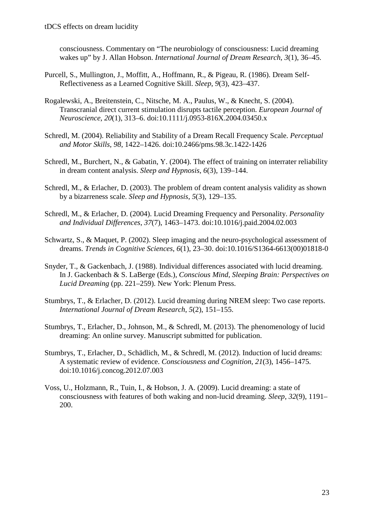consciousness. Commentary on "The neurobiology of consciousness: Lucid dreaming wakes up" by J. Allan Hobson. *International Journal of Dream Research*, *3*(1), 36–45.

- Purcell, S., Mullington, J., Moffitt, A., Hoffmann, R., & Pigeau, R. (1986). Dream Self-Reflectiveness as a Learned Cognitive Skill. *Sleep*, *9*(3), 423–437.
- Rogalewski, A., Breitenstein, C., Nitsche, M. A., Paulus, W., & Knecht, S. (2004). Transcranial direct current stimulation disrupts tactile perception. *European Journal of Neuroscience*, *20*(1), 313–6. doi:10.1111/j.0953-816X.2004.03450.x
- Schredl, M. (2004). Reliability and Stability of a Dream Recall Frequency Scale. *Perceptual and Motor Skills*, *98*, 1422–1426. doi:10.2466/pms.98.3c.1422-1426
- Schredl, M., Burchert, N., & Gabatin, Y. (2004). The effect of training on interrater reliability in dream content analysis. *Sleep and Hypnosis*, *6*(3), 139–144.
- Schredl, M., & Erlacher, D. (2003). The problem of dream content analysis validity as shown by a bizarreness scale. *Sleep and Hypnosis*, *5*(3), 129–135.
- Schredl, M., & Erlacher, D. (2004). Lucid Dreaming Frequency and Personality. *Personality and Individual Differences*, *37*(7), 1463–1473. doi:10.1016/j.paid.2004.02.003
- Schwartz, S., & Maquet, P. (2002). Sleep imaging and the neuro-psychological assessment of dreams. *Trends in Cognitive Sciences*, *6*(1), 23–30. doi:10.1016/S1364-6613(00)01818-0
- Snyder, T., & Gackenbach, J. (1988). Individual differences associated with lucid dreaming. In J. Gackenbach & S. LaBerge (Eds.), *Conscious Mind, Sleeping Brain: Perspectives on Lucid Dreaming* (pp. 221–259). New York: Plenum Press.
- Stumbrys, T., & Erlacher, D. (2012). Lucid dreaming during NREM sleep: Two case reports. *International Journal of Dream Research*, *5*(2), 151–155.
- Stumbrys, T., Erlacher, D., Johnson, M., & Schredl, M. (2013). The phenomenology of lucid dreaming: An online survey. Manuscript submitted for publication.
- Stumbrys, T., Erlacher, D., Schädlich, M., & Schredl, M. (2012). Induction of lucid dreams: A systematic review of evidence. *Consciousness and Cognition*, *21*(3), 1456–1475. doi:10.1016/j.concog.2012.07.003
- Voss, U., Holzmann, R., Tuin, I., & Hobson, J. A. (2009). Lucid dreaming: a state of consciousness with features of both waking and non-lucid dreaming. *Sleep*, *32*(9), 1191– 200.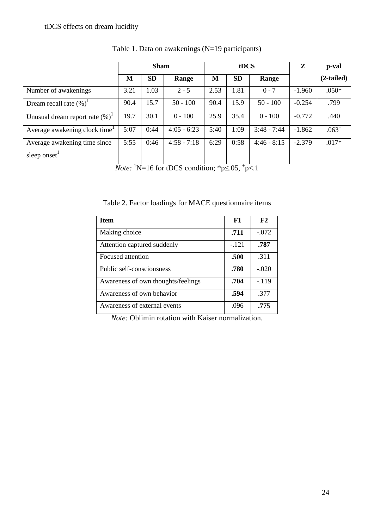|                                    | <b>Sham</b> |           |               | tDCS |           |               | Z        | p-val        |
|------------------------------------|-------------|-----------|---------------|------|-----------|---------------|----------|--------------|
|                                    | M           | <b>SD</b> | Range         | M    | <b>SD</b> | Range         |          | $(2-tailed)$ |
| Number of awakenings               | 3.21        | 1.03      | $2 - 5$       | 2.53 | 1.81      | $0 - 7$       | $-1.960$ | $.050*$      |
| Dream recall rate $(\%)^1$         | 90.4        | 15.7      | $50 - 100$    | 90.4 | 15.9      | $50 - 100$    | $-0.254$ | .799         |
| Unusual dream report rate $(\%)^T$ | 19.7        | 30.1      | $0 - 100$     | 25.9 | 35.4      | $0 - 100$     | $-0.772$ | .440         |
| Average awakening clock time       | 5:07        | 0:44      | $4:05 - 6:23$ | 5:40 | 1:09      | $3:48 - 7:44$ | $-1.862$ | $.063+$      |
| Average awakening time since       | 5:55        | 0:46      | $4:58 - 7:18$ | 6:29 | 0:58      | $4:46 - 8:15$ | $-2.379$ | $.017*$      |
| sleep onset <sup>1</sup>           |             |           |               |      |           |               |          |              |

Table 1. Data on awakenings (N=19 participants)

*Note:* <sup>1</sup>N=16 for tDCS condition;  ${}^*p \le 0.05$ ,  ${}^+p < 1$ 

Table 2. Factor loadings for MACE questionnaire items

| <b>Item</b>                        | F1      | F2      |
|------------------------------------|---------|---------|
| Making choice                      | .711    | $-.072$ |
| Attention captured suddenly        | $-.121$ | .787    |
| Focused attention                  | .500    | .311    |
| Public self-consciousness          | .780    | $-.020$ |
| Awareness of own thoughts/feelings | .704    | $-119$  |
| Awareness of own behavior          | .594    | .377    |
| Awareness of external events       | .096    | .775    |

*Note:* Oblimin rotation with Kaiser normalization.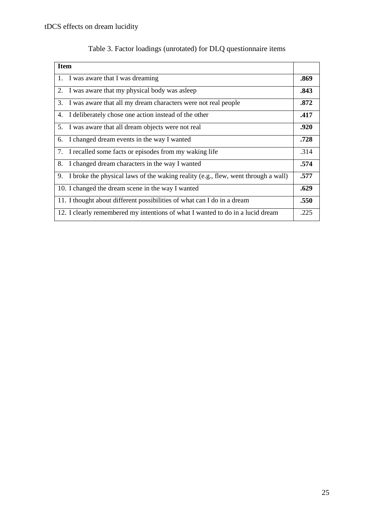| <b>Item</b>                                                                             |      |  |  |  |
|-----------------------------------------------------------------------------------------|------|--|--|--|
| I was aware that I was dreaming<br>1.                                                   |      |  |  |  |
| I was aware that my physical body was asleep<br>2.                                      | .843 |  |  |  |
| I was aware that all my dream characters were not real people<br>3.                     | .872 |  |  |  |
| I deliberately chose one action instead of the other<br>4.                              | .417 |  |  |  |
| 5.<br>I was aware that all dream objects were not real                                  | .920 |  |  |  |
| I changed dream events in the way I wanted<br>6.                                        | .728 |  |  |  |
| I recalled some facts or episodes from my waking life<br>7.                             | .314 |  |  |  |
| I changed dream characters in the way I wanted<br>8.                                    | .574 |  |  |  |
| I broke the physical laws of the waking reality (e.g., flew, went through a wall)<br>9. | .577 |  |  |  |
| 10. I changed the dream scene in the way I wanted                                       | .629 |  |  |  |
| 11. I thought about different possibilities of what can I do in a dream                 | .550 |  |  |  |
| 12. I clearly remembered my intentions of what I wanted to do in a lucid dream          | .225 |  |  |  |

# Table 3. Factor loadings (unrotated) for DLQ questionnaire items